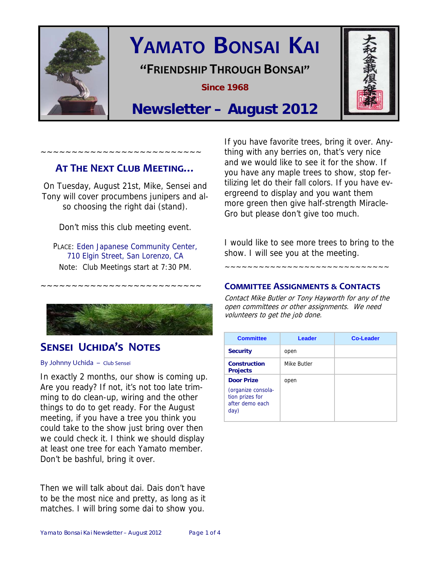

# **YAMATO BONSAI KAI**

## **"FRIENDSHIP THROUGH BONSAI"**

**Since 1968** 



## **Newsletter – August 2012**

## **AT THE NEXT CLUB MEETING…**

~~~~~~~~~~~~~~~~~~~~~~~~~~

On Tuesday, August 21st, Mike, Sensei and Tony will cover procumbens junipers and also choosing the right dai (stand).

Don't miss this club meeting event.

PLACE: Eden Japanese Community Center, 710 Elgin Street, San Lorenzo, CA Note: Club Meetings start at 7:30 PM.

~~~~~~~~~~~~~~~~~~~~~~~~~~



## **SENSEI UCHIDA'S NOTES**

By Johnny Uchida – Club Sensei

In exactly 2 months, our show is coming up. Are you ready? If not, it's not too late trimming to do clean-up, wiring and the other things to do to get ready. For the August meeting, if you have a tree you think you could take to the show just bring over then we could check it. I think we should display at least one tree for each Yamato member. Don't be bashful, bring it over.

Then we will talk about dai. Dais don't have to be the most nice and pretty, as long as it matches. I will bring some dai to show you.

If you have favorite trees, bring it over. Anything with any berries on, that's very nice and we would like to see it for the show. If you have any maple trees to show, stop fertilizing let do their fall colors. If you have evergreend to display and you want them more green then give half-strength Miracle-Gro but please don't give too much.

I would like to see more trees to bring to the show. I will see you at the meeting.

~~~~~~~~~~~~~~~~~~~~~~~~~~~~~

#### **COMMITTEE ASSIGNMENTS ƭ CONTACTS**

Contact Mike Butler or Tony Hayworth for any of the open committees or other assignments. We need volunteers to get the job done.

| <b>Committee</b>                                                                      | <b>Leader</b> | <b>Co-Leader</b> |
|---------------------------------------------------------------------------------------|---------------|------------------|
| <b>Security</b>                                                                       | open          |                  |
| <b>Construction</b><br><b>Projects</b>                                                | Mike Butler   |                  |
| <b>Door Prize</b><br>(organize consola-<br>tion prizes for<br>after demo each<br>day) | open          |                  |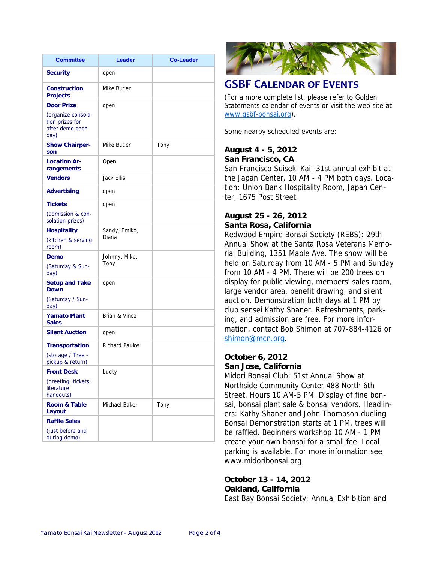| <b>Committee</b>                                                 | Leader                 | <b>Co-Leader</b> |
|------------------------------------------------------------------|------------------------|------------------|
| <b>Security</b>                                                  | open                   |                  |
| <b>Construction</b><br><b>Projects</b>                           | Mike Butler            |                  |
| <b>Door Prize</b>                                                | open                   |                  |
| (organize consola-<br>tion prizes for<br>after demo each<br>day) |                        |                  |
| <b>Show Chairper-</b><br>son                                     | Mike Butler            | Tony             |
| <b>Location Ar-</b><br>rangements                                | Open                   |                  |
| <b>Vendors</b>                                                   | Jack Ellis             |                  |
| Advertising                                                      | open                   |                  |
| <b>Tickets</b>                                                   | open                   |                  |
| (admission & con-<br>solation prizes)                            |                        |                  |
| <b>Hospitality</b>                                               | Sandy, Emiko,<br>Diana |                  |
| (kitchen & serving<br>room)                                      |                        |                  |
| Demo                                                             | Johnny, Mike,          |                  |
| (Saturday & Sun-<br>day)                                         | Tony                   |                  |
| <b>Setup and Take</b><br><b>Down</b>                             | open                   |                  |
| (Saturday / Sun-<br>day)                                         |                        |                  |
| <b>Yamato Plant</b><br><b>Sales</b>                              | Brian & Vince          |                  |
| <b>Silent Auction</b>                                            | open                   |                  |
| <b>Transportation</b>                                            | <b>Richard Paulos</b>  |                  |
| (storage / Tree -<br>pickup & return)                            |                        |                  |
| <b>Front Desk</b>                                                | Lucky                  |                  |
| (greeting; tickets;<br>literature<br>handouts)                   |                        |                  |
| Room & Table<br>Layout                                           | Michael Baker          | Tony             |
| <b>Raffle Sales</b>                                              |                        |                  |
| (just before and<br>during demo)                                 |                        |                  |



## **GSBF CALENDAR OF EVENTS**

(For a more complete list, please refer to Golden Statements calendar of events or visit the web site at www.gsbf-bonsai.org).

Some nearby scheduled events are:

#### **August 4 - 5, 2012 San Francisco, CA**

San Francisco Suiseki Kai: 31st annual exhibit at the Japan Center, 10 AM - 4 PM both days. Location: Union Bank Hospitality Room, Japan Center, 1675 Post Street.

#### **August 25 - 26, 2012 Santa Rosa, California**

Redwood Empire Bonsai Society (REBS): 29th Annual Show at the Santa Rosa Veterans Memorial Building, 1351 Maple Ave. The show will be held on Saturday from 10 AM - 5 PM and Sunday from 10 AM - 4 PM. There will be 200 trees on display for public viewing, members' sales room, large vendor area, benefit drawing, and silent auction. Demonstration both days at 1 PM by club sensei Kathy Shaner. Refreshments, parking, and admission are free. For more information, contact Bob Shimon at 707-884-4126 or shimon@mcn.org.

#### **October 6, 2012 San Jose, California**

Midori Bonsai Club: 51st Annual Show at Northside Community Center 488 North 6th Street. Hours 10 AM-5 PM. Display of fine bonsai, bonsai plant sale & bonsai vendors. Headliners: Kathy Shaner and John Thompson dueling Bonsai Demonstration starts at 1 PM, trees will be raffled. Beginners workshop 10 AM - 1 PM create your own bonsai for a small fee. Local parking is available. For more information see www.midoribonsai.org

#### **October 13 - 14, 2012 Oakland, California**

East Bay Bonsai Society: Annual Exhibition and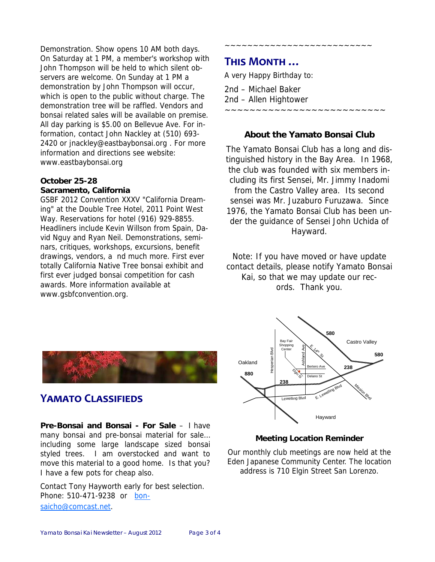Demonstration. Show opens 10 AM both days. On Saturday at 1 PM, a member's workshop with John Thompson will be held to which silent observers are welcome. On Sunday at 1 PM a demonstration by John Thompson will occur, which is open to the public without charge. The demonstration tree will be raffled. Vendors and bonsai related sales will be available on premise. All day parking is \$5.00 on Bellevue Ave. For information, contact John Nackley at (510) 693- 2420 or jnackley@eastbaybonsai.org . For more information and directions see website: www.eastbaybonsai.org

#### **October 25-28 Sacramento, California**

GSBF 2012 Convention XXXV "California Dreaming" at the Double Tree Hotel, 2011 Point West Way. Reservations for hotel (916) 929-8855. Headliners include Kevin Willson from Spain, David Nguy and Ryan Neil. Demonstrations, seminars, critiques, workshops, excursions, benefit drawings, vendors, a nd much more. First ever totally California Native Tree bonsai exhibit and first ever judged bonsai competition for cash awards. More information available at www.gsbfconvention.org.

## **THIS MONTH …**

A very Happy Birthday to:

2nd – Michael Baker 2nd – Allen Hightower ~~~~~~~~~~~~~~~~~~~~~~~~~~

#### **About the Yamato Bonsai Club**

~~~~~~~~~~~~~~~~~

The Yamato Bonsai Club has a long and distinguished history in the Bay Area. In 1968, the club was founded with six members including its first Sensei, Mr. Jimmy Inadomi from the Castro Valley area. Its second sensei was Mr. Juzaburo Furuzawa. Since 1976, the Yamato Bonsai Club has been under the guidance of Sensei John Uchida of Hayward.

Note: If you have moved or have update contact details, please notify Yamato Bonsai Kai, so that we may update our records. Thank you.



## **YAMATO CLASSIFIEDS**

**Pre-Bonsai and Bonsai - For Sale** – I have many bonsai and pre-bonsai material for sale… including some large landscape sized bonsai styled trees. I am overstocked and want to move this material to a good home. Is that you? I have a few pots for cheap also.

Contact Tony Hayworth early for best selection. Phone: 510-471-9238 or bonsaicho@comcast.net.



#### **Meeting Location Reminder**

Our monthly club meetings are now held at the Eden Japanese Community Center. The location address is 710 Elgin Street San Lorenzo.